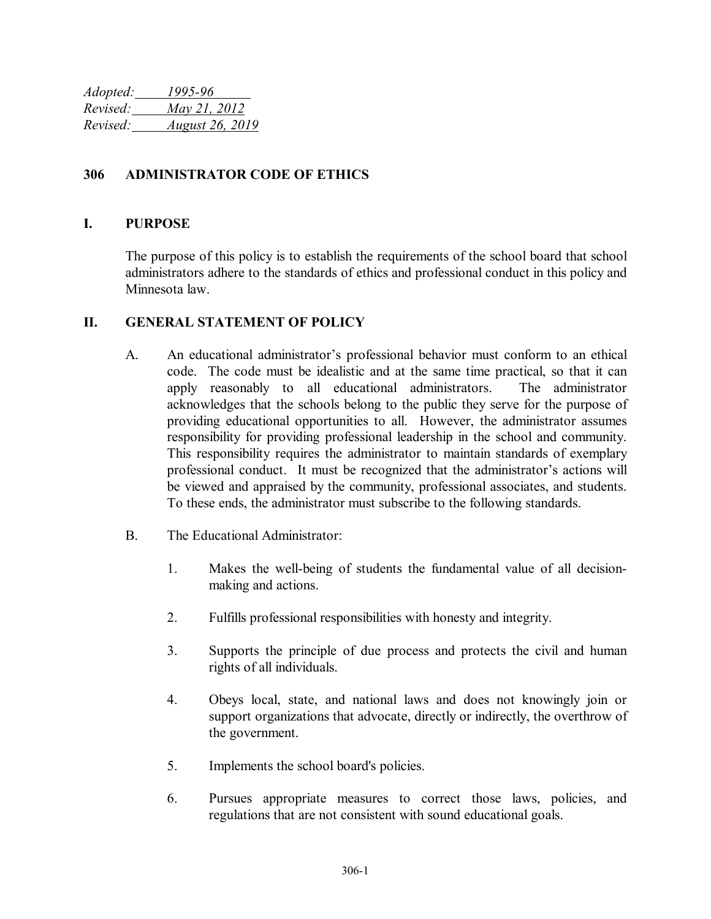*Adopted: 1995-96 Revised: May 21, 2012 Revised: August 26, 2019*

## **306 ADMINISTRATOR CODE OF ETHICS**

## **I. PURPOSE**

The purpose of this policy is to establish the requirements of the school board that school administrators adhere to the standards of ethics and professional conduct in this policy and Minnesota law.

## **II. GENERAL STATEMENT OF POLICY**

- A. An educational administrator's professional behavior must conform to an ethical code. The code must be idealistic and at the same time practical, so that it can apply reasonably to all educational administrators. The administrator acknowledges that the schools belong to the public they serve for the purpose of providing educational opportunities to all. However, the administrator assumes responsibility for providing professional leadership in the school and community. This responsibility requires the administrator to maintain standards of exemplary professional conduct. It must be recognized that the administrator's actions will be viewed and appraised by the community, professional associates, and students. To these ends, the administrator must subscribe to the following standards.
- B. The Educational Administrator:
	- 1. Makes the well-being of students the fundamental value of all decisionmaking and actions.
	- 2. Fulfills professional responsibilities with honesty and integrity.
	- 3. Supports the principle of due process and protects the civil and human rights of all individuals.
	- 4. Obeys local, state, and national laws and does not knowingly join or support organizations that advocate, directly or indirectly, the overthrow of the government.
	- 5. Implements the school board's policies.
	- 6. Pursues appropriate measures to correct those laws, policies, and regulations that are not consistent with sound educational goals.